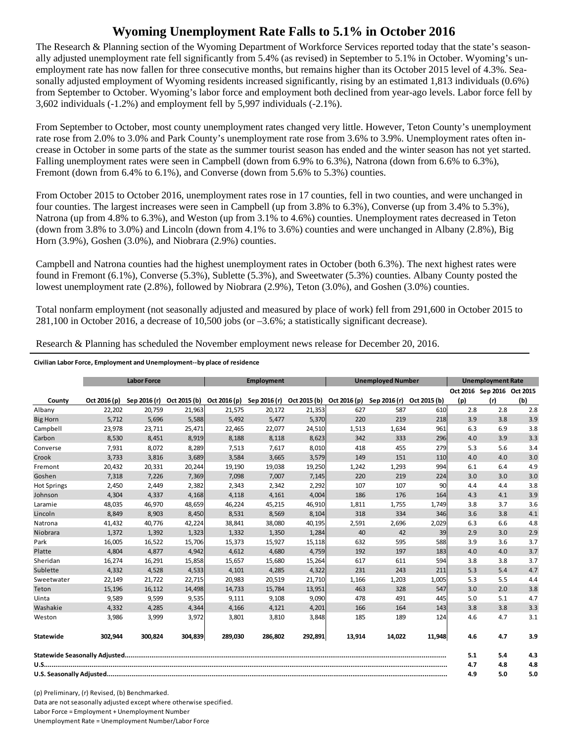## **Wyoming Unemployment Rate Falls to 5.1% in October 2016**

The Research & Planning section of the Wyoming Department of Workforce Services reported today that the state's seasonally adjusted unemployment rate fell significantly from 5.4% (as revised) in September to 5.1% in October. Wyoming's unemployment rate has now fallen for three consecutive months, but remains higher than its October 2015 level of 4.3%. Seasonally adjusted employment of Wyoming residents increased significantly, rising by an estimated 1,813 individuals (0.6%) from September to October. Wyoming's labor force and employment both declined from year-ago levels. Labor force fell by 3,602 individuals (-1.2%) and employment fell by 5,997 individuals (-2.1%).

From September to October, most county unemployment rates changed very little. However, Teton County's unemployment rate rose from 2.0% to 3.0% and Park County's unemployment rate rose from 3.6% to 3.9%. Unemployment rates often increase in October in some parts of the state as the summer tourist season has ended and the winter season has not yet started. Falling unemployment rates were seen in Campbell (down from 6.9% to 6.3%), Natrona (down from 6.6% to 6.3%), Fremont (down from 6.4% to 6.1%), and Converse (down from 5.6% to 5.3%) counties.

From October 2015 to October 2016, unemployment rates rose in 17 counties, fell in two counties, and were unchanged in four counties. The largest increases were seen in Campbell (up from 3.8% to 6.3%), Converse (up from 3.4% to 5.3%), Natrona (up from 4.8% to 6.3%), and Weston (up from 3.1% to 4.6%) counties. Unemployment rates decreased in Teton (down from 3.8% to 3.0%) and Lincoln (down from 4.1% to 3.6%) counties and were unchanged in Albany (2.8%), Big Horn (3.9%), Goshen (3.0%), and Niobrara (2.9%) counties.

Campbell and Natrona counties had the highest unemployment rates in October (both 6.3%). The next highest rates were found in Fremont (6.1%), Converse (5.3%), Sublette (5.3%), and Sweetwater (5.3%) counties. Albany County posted the lowest unemployment rate (2.8%), followed by Niobrara (2.9%), Teton (3.0%), and Goshen (3.0%) counties.

Total nonfarm employment (not seasonally adjusted and measured by place of work) fell from 291,600 in October 2015 to 281,100 in October 2016, a decrease of 10,500 jobs (or –3.6%; a statistically significant decrease).

Research & Planning has scheduled the November employment news release for December 20, 2016.

## **Civilian Labor Force, Employment and Unemployment‐‐by place of residence**

|                    |              | <b>Labor Force</b><br><b>Employment</b><br><b>Unemployed Number</b> |         |                                                                  | <b>Unemployment Rate</b> |         |        |              |              |     |                            |     |
|--------------------|--------------|---------------------------------------------------------------------|---------|------------------------------------------------------------------|--------------------------|---------|--------|--------------|--------------|-----|----------------------------|-----|
|                    |              |                                                                     |         |                                                                  |                          |         |        |              |              |     | Oct 2016 Sep 2016 Oct 2015 |     |
| County             | Oct 2016 (p) | Sep 2016 (r)                                                        |         | Oct 2015 (b) Oct 2016 (p) Sep 2016 (r) Oct 2015 (b) Oct 2016 (p) |                          |         |        | Sep 2016 (r) | Oct 2015 (b) | (p) | (r)                        | (b) |
| Albany             | 22,202       | 20,759                                                              | 21,963  | 21,575                                                           | 20,172                   | 21,353  | 627    | 587          | 610          | 2.8 | 2.8                        | 2.8 |
| <b>Big Horn</b>    | 5,712        | 5,696                                                               | 5,588   | 5,492                                                            | 5,477                    | 5,370   | 220    | 219          | 218          | 3.9 | 3.8                        | 3.9 |
| Campbell           | 23,978       | 23,711                                                              | 25,471  | 22,465                                                           | 22,077                   | 24,510  | 1,513  | 1,634        | 961          | 6.3 | 6.9                        | 3.8 |
| Carbon             | 8,530        | 8,451                                                               | 8,919   | 8,188                                                            | 8,118                    | 8,623   | 342    | 333          | 296          | 4.0 | 3.9                        | 3.3 |
| Converse           | 7,931        | 8,072                                                               | 8,289   | 7,513                                                            | 7,617                    | 8,010   | 418    | 455          | 279          | 5.3 | 5.6                        | 3.4 |
| Crook              | 3,733        | 3,816                                                               | 3,689   | 3,584                                                            | 3,665                    | 3,579   | 149    | 151          | 110          | 4.0 | 4.0                        | 3.0 |
| Fremont            | 20,432       | 20,331                                                              | 20,244  | 19,190                                                           | 19,038                   | 19,250  | 1,242  | 1,293        | 994          | 6.1 | 6.4                        | 4.9 |
| Goshen             | 7,318        | 7,226                                                               | 7,369   | 7,098                                                            | 7,007                    | 7,145   | 220    | 219          | 224          | 3.0 | 3.0                        | 3.0 |
| <b>Hot Springs</b> | 2,450        | 2,449                                                               | 2,382   | 2,343                                                            | 2,342                    | 2,292   | 107    | 107          | 90           | 4.4 | 4.4                        | 3.8 |
| Johnson            | 4,304        | 4,337                                                               | 4,168   | 4,118                                                            | 4,161                    | 4,004   | 186    | 176          | 164          | 4.3 | 4.1                        | 3.9 |
| Laramie            | 48,035       | 46,970                                                              | 48,659  | 46,224                                                           | 45,215                   | 46,910  | 1,811  | 1,755        | 1,749        | 3.8 | 3.7                        | 3.6 |
| Lincoln            | 8,849        | 8,903                                                               | 8,450   | 8,531                                                            | 8,569                    | 8,104   | 318    | 334          | 346          | 3.6 | 3.8                        | 4.1 |
| Natrona            | 41,432       | 40,776                                                              | 42,224  | 38,841                                                           | 38,080                   | 40,195  | 2,591  | 2,696        | 2,029        | 6.3 | 6.6                        | 4.8 |
| Niobrara           | 1,372        | 1,392                                                               | 1,323   | 1,332                                                            | 1,350                    | 1,284   | 40     | 42           | 39           | 2.9 | 3.0                        | 2.9 |
| Park               | 16,005       | 16,522                                                              | 15,706  | 15,373                                                           | 15,927                   | 15,118  | 632    | 595          | 588          | 3.9 | 3.6                        | 3.7 |
| Platte             | 4.804        | 4,877                                                               | 4,942   | 4,612                                                            | 4,680                    | 4,759   | 192    | 197          | 183          | 4.0 | 4.0                        | 3.7 |
| Sheridan           | 16.274       | 16,291                                                              | 15,858  | 15.657                                                           | 15.680                   | 15,264  | 617    | 611          | 594          | 3.8 | 3.8                        | 3.7 |
| Sublette           | 4,332        | 4,528                                                               | 4,533   | 4,101                                                            | 4,285                    | 4,322   | 231    | 243          | 211          | 5.3 | 5.4                        | 4.7 |
| Sweetwater         | 22,149       | 21,722                                                              | 22,715  | 20,983                                                           | 20,519                   | 21,710  | 1,166  | 1,203        | 1,005        | 5.3 | 5.5                        | 4.4 |
| Teton              | 15,196       | 16,112                                                              | 14,498  | 14,733                                                           | 15,784                   | 13,951  | 463    | 328          | 547          | 3.0 | 2.0                        | 3.8 |
| Uinta              | 9,589        | 9,599                                                               | 9,535   | 9,111                                                            | 9,108                    | 9,090   | 478    | 491          | 445          | 5.0 | 5.1                        | 4.7 |
| Washakie           | 4,332        | 4,285                                                               | 4,344   | 4,166                                                            | 4,121                    | 4,201   | 166    | 164          | 143          | 3.8 | 3.8                        | 3.3 |
| Weston             | 3,986        | 3,999                                                               | 3,972   | 3,801                                                            | 3,810                    | 3,848   | 185    | 189          | 124          | 4.6 | 4.7                        | 3.1 |
| Statewide          | 302.944      | 300.824                                                             | 304,839 | 289.030                                                          | 286.802                  | 292.891 | 13.914 | 14.022       | 11,948       | 4.6 | 4.7                        | 3.9 |
|                    |              |                                                                     |         |                                                                  |                          |         |        | 5.1          | 5.4          | 4.3 |                            |     |
|                    |              |                                                                     |         |                                                                  |                          |         |        | 4.7          | 4.8          | 4.8 |                            |     |
|                    |              |                                                                     |         |                                                                  |                          |         | 4.9    | 5.0          | 5.0          |     |                            |     |

(p) Preliminary, (r) Revised, (b) Benchmarked. Data are not seasonally adjusted except where otherwise specified. Labor Force = Employment + Unemployment Number Unemployment Rate = Unemployment Number/Labor Force